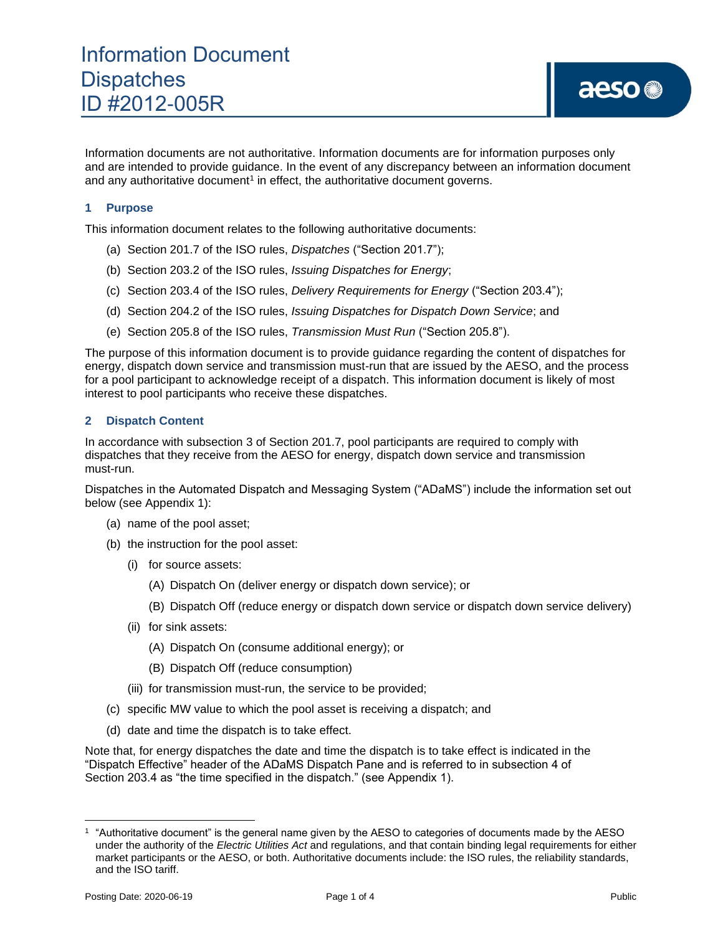Information documents are not authoritative. Information documents are for information purposes only and are intended to provide guidance. In the event of any discrepancy between an information document and any authoritative document<sup>1</sup> in effect, the authoritative document governs.

#### **1 Purpose**

This information document relates to the following authoritative documents:

- (a) Section 201.7 of the ISO rules, *Dispatches* ("Section 201.7");
- (b) Section 203.2 of the ISO rules, *Issuing Dispatches for Energy*;
- (c) Section 203.4 of the ISO rules, *Delivery Requirements for Energy* ("Section 203.4");
- (d) Section 204.2 of the ISO rules, *Issuing Dispatches for Dispatch Down Service*; and
- (e) Section 205.8 of the ISO rules, *Transmission Must Run* ("Section 205.8").

The purpose of this information document is to provide guidance regarding the content of dispatches for energy, dispatch down service and transmission must-run that are issued by the AESO, and the process for a pool participant to acknowledge receipt of a dispatch. This information document is likely of most interest to pool participants who receive these dispatches.

#### **2 Dispatch Content**

In accordance with subsection 3 of Section 201.7, pool participants are required to comply with dispatches that they receive from the AESO for energy, dispatch down service and transmission must-run.

Dispatches in the Automated Dispatch and Messaging System ("ADaMS") include the information set out below (see Appendix 1):

- (a) name of the pool asset;
- (b) the instruction for the pool asset:
	- (i) for source assets:
		- (A) Dispatch On (deliver energy or dispatch down service); or
		- (B) Dispatch Off (reduce energy or dispatch down service or dispatch down service delivery)
	- (ii) for sink assets:
		- (A) Dispatch On (consume additional energy); or
		- (B) Dispatch Off (reduce consumption)
	- (iii) for transmission must-run, the service to be provided;
- (c) specific MW value to which the pool asset is receiving a dispatch; and
- (d) date and time the dispatch is to take effect.

Note that, for energy dispatches the date and time the dispatch is to take effect is indicated in the "Dispatch Effective" header of the ADaMS Dispatch Pane and is referred to in subsection 4 of Section 203.4 as "the time specified in the dispatch." (see Appendix 1).

<sup>1</sup> "Authoritative document" is the general name given by the AESO to categories of documents made by the AESO under the authority of the *Electric Utilities Act* and regulations, and that contain binding legal requirements for either market participants or the AESO, or both. Authoritative documents include: the ISO rules, the reliability standards, and the ISO tariff.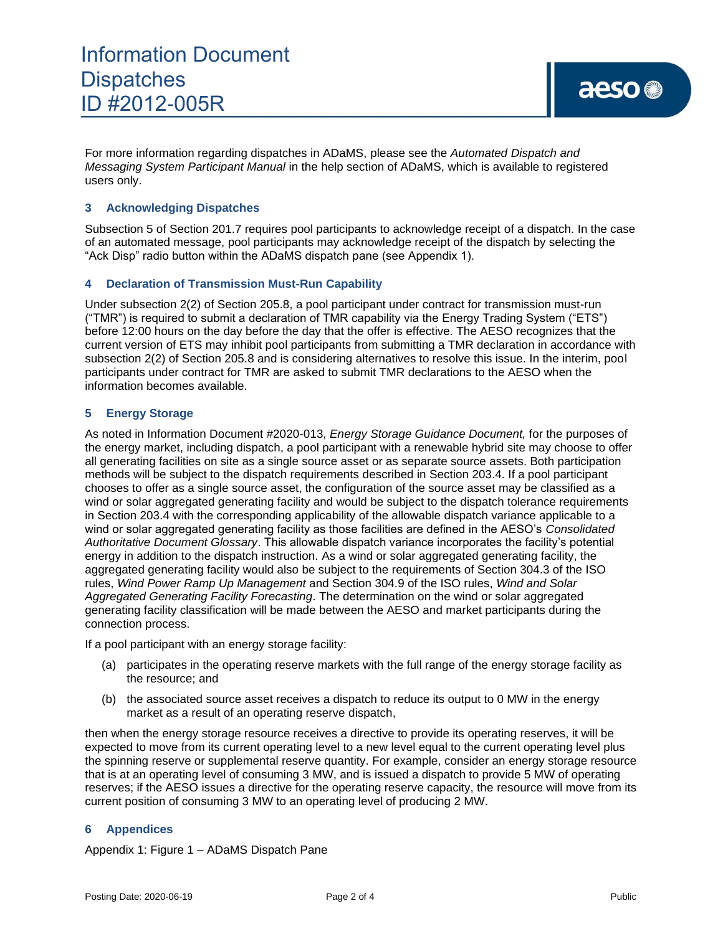For more information regarding dispatches in ADaMS, please see the *Automated Dispatch and Messaging System Participant Manual* in the help section of ADaMS, which is available to registered users only.

#### **3 Acknowledging Dispatches**

Subsection 5 of Section 201.7 requires pool participants to acknowledge receipt of a dispatch. In the case of an automated message, pool participants may acknowledge receipt of the dispatch by selecting the "Ack Disp" radio button within the ADaMS dispatch pane (see Appendix 1).

#### **4 Declaration of Transmission Must-Run Capability**

Under subsection 2(2) of Section 205.8, a pool participant under contract for transmission must-run ("TMR") is required to submit a declaration of TMR capability via the Energy Trading System ("ETS") before 12:00 hours on the day before the day that the offer is effective. The AESO recognizes that the current version of ETS may inhibit pool participants from submitting a TMR declaration in accordance with subsection 2(2) of Section 205.8 and is considering alternatives to resolve this issue. In the interim, pool participants under contract for TMR are asked to submit TMR declarations to the AESO when the information becomes available.

#### **5 Energy Storage**

As noted in Information Document #2020-013, *Energy Storage Guidance Document,* for the purposes of the energy market, including dispatch, a pool participant with a renewable hybrid site may choose to offer all generating facilities on site as a single source asset or as separate source assets. Both participation methods will be subject to the dispatch requirements described in Section 203.4. If a pool participant chooses to offer as a single source asset, the configuration of the source asset may be classified as a wind or solar aggregated generating facility and would be subject to the dispatch tolerance requirements in Section 203.4 with the corresponding applicability of the allowable dispatch variance applicable to a wind or solar aggregated generating facility as those facilities are defined in the AESO's *Consolidated Authoritative Document Glossary*. This allowable dispatch variance incorporates the facility's potential energy in addition to the dispatch instruction. As a wind or solar aggregated generating facility, the aggregated generating facility would also be subject to the requirements of Section 304.3 of the ISO rules, *Wind Power Ramp Up Management* and Section 304.9 of the ISO rules, *Wind and Solar Aggregated Generating Facility Forecasting*. The determination on the wind or solar aggregated generating facility classification will be made between the AESO and market participants during the connection process.

If a pool participant with an energy storage facility:

- (a) participates in the operating reserve markets with the full range of the energy storage facility as the resource; and
- (b) the associated source asset receives a dispatch to reduce its output to 0 MW in the energy market as a result of an operating reserve dispatch,

then when the energy storage resource receives a directive to provide its operating reserves, it will be expected to move from its current operating level to a new level equal to the current operating level plus the spinning reserve or supplemental reserve quantity. For example, consider an energy storage resource that is at an operating level of consuming 3 MW, and is issued a dispatch to provide 5 MW of operating reserves; if the AESO issues a directive for the operating reserve capacity, the resource will move from its current position of consuming 3 MW to an operating level of producing 2 MW.

#### **6 Appendices**

Appendix 1: Figure 1 – ADaMS Dispatch Pane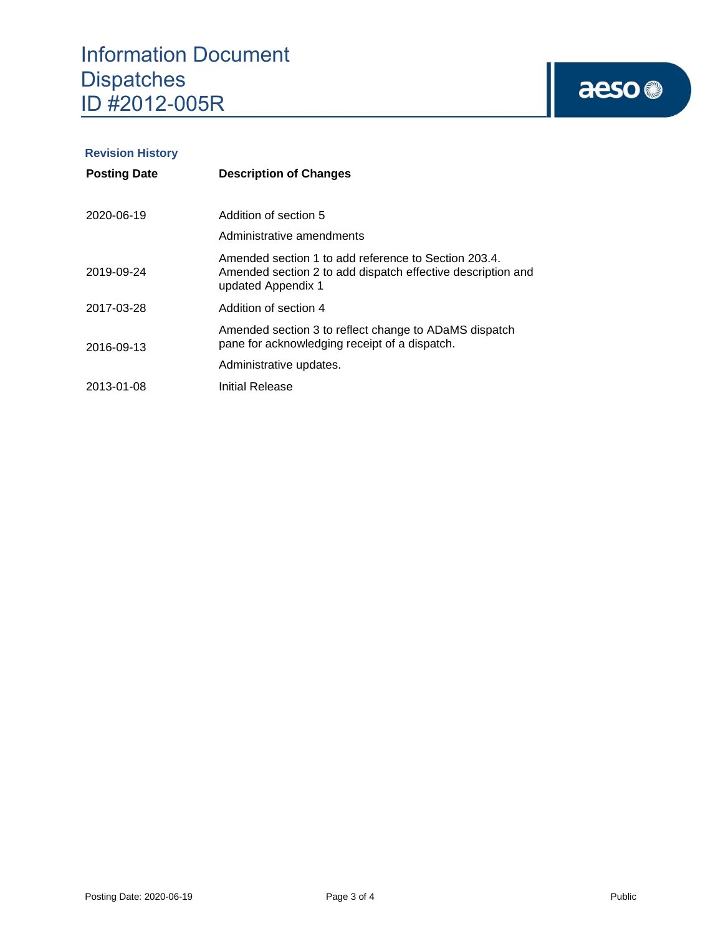# aeso<sup>®</sup>

## **Revision History**

| <b>Posting Date</b> | <b>Description of Changes</b>                                                                                                             |  |  |  |  |  |  |  |  |
|---------------------|-------------------------------------------------------------------------------------------------------------------------------------------|--|--|--|--|--|--|--|--|
| 2020-06-19          | Addition of section 5<br>Administrative amendments                                                                                        |  |  |  |  |  |  |  |  |
| 2019-09-24          | Amended section 1 to add reference to Section 203.4.<br>Amended section 2 to add dispatch effective description and<br>updated Appendix 1 |  |  |  |  |  |  |  |  |
| 2017-03-28          | Addition of section 4                                                                                                                     |  |  |  |  |  |  |  |  |
| 2016-09-13          | Amended section 3 to reflect change to ADaMS dispatch<br>pane for acknowledging receipt of a dispatch.                                    |  |  |  |  |  |  |  |  |
|                     | Administrative updates.                                                                                                                   |  |  |  |  |  |  |  |  |
| 2013-01-08          | Initial Release                                                                                                                           |  |  |  |  |  |  |  |  |